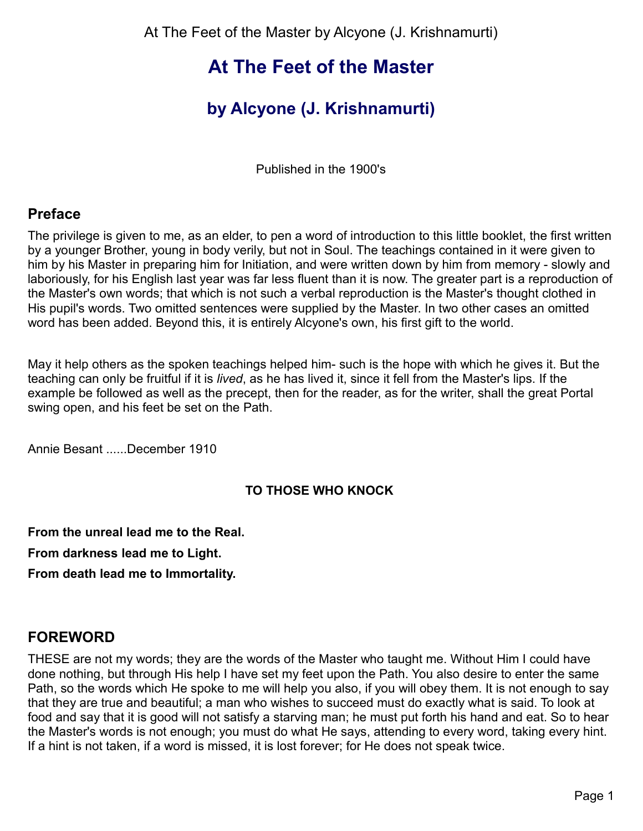# **At The Feet of the Master**

# **by Alcyone (J. Krishnamurti)**

Published in the 1900's

### **Preface**

The privilege is given to me, as an elder, to pen a word of introduction to this little booklet, the first written by a younger Brother, young in body verily, but not in Soul. The teachings contained in it were given to him by his Master in preparing him for Initiation, and were written down by him from memory - slowly and laboriously, for his English last year was far less fluent than it is now. The greater part is a reproduction of the Master's own words; that which is not such a verbal reproduction is the Master's thought clothed in His pupil's words. Two omitted sentences were supplied by the Master. In two other cases an omitted word has been added. Beyond this, it is entirely Alcyone's own, his first gift to the world.

May it help others as the spoken teachings helped him- such is the hope with which he gives it. But the teaching can only be fruitful if it is *lived*, as he has lived it, since it fell from the Master's lips. If the example be followed as well as the precept, then for the reader, as for the writer, shall the great Portal swing open, and his feet be set on the Path.

Annie Besant ......December 1910

### **TO THOSE WHO KNOCK**

**From the unreal lead me to the Real.**

**From darkness lead me to Light.**

**From death lead me to Immortality.**

# **FOREWORD**

THESE are not my words; they are the words of the Master who taught me. Without Him I could have done nothing, but through His help I have set my feet upon the Path. You also desire to enter the same Path, so the words which He spoke to me will help you also, if you will obey them. It is not enough to say that they are true and beautiful; a man who wishes to succeed must do exactly what is said. To look at food and say that it is good will not satisfy a starving man; he must put forth his hand and eat. So to hear the Master's words is not enough; you must do what He says, attending to every word, taking every hint. If a hint is not taken, if a word is missed, it is lost forever; for He does not speak twice.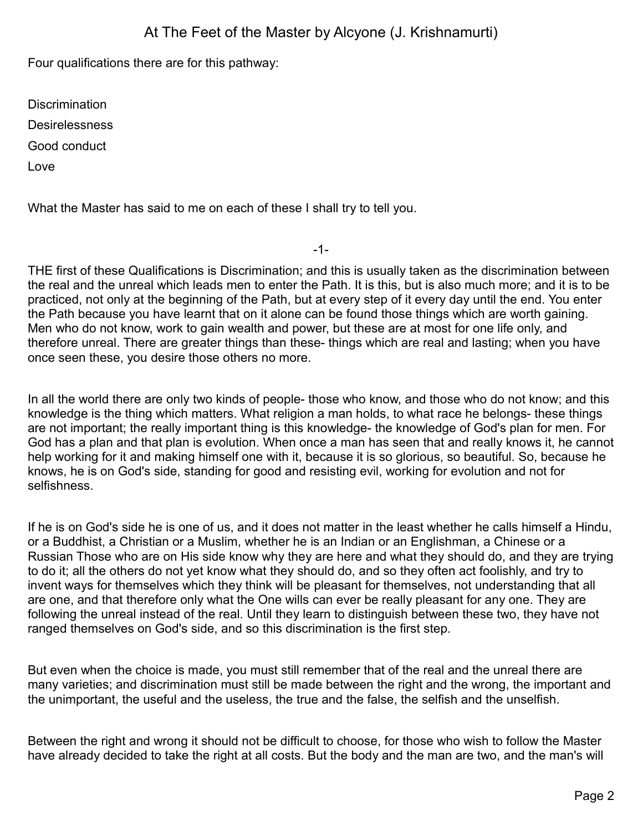Four qualifications there are for this pathway:

**Discrimination Desirelessness** Good conduct Love

What the Master has said to me on each of these I shall try to tell you.

-1-

THE first of these Qualifications is Discrimination; and this is usually taken as the discrimination between the real and the unreal which leads men to enter the Path. It is this, but is also much more; and it is to be practiced, not only at the beginning of the Path, but at every step of it every day until the end. You enter the Path because you have learnt that on it alone can be found those things which are worth gaining. Men who do not know, work to gain wealth and power, but these are at most for one life only, and therefore unreal. There are greater things than these- things which are real and lasting; when you have once seen these, you desire those others no more.

In all the world there are only two kinds of people- those who know, and those who do not know; and this knowledge is the thing which matters. What religion a man holds, to what race he belongs- these things are not important; the really important thing is this knowledge- the knowledge of God's plan for men. For God has a plan and that plan is evolution. When once a man has seen that and really knows it, he cannot help working for it and making himself one with it, because it is so glorious, so beautiful. So, because he knows, he is on God's side, standing for good and resisting evil, working for evolution and not for selfishness.

If he is on God's side he is one of us, and it does not matter in the least whether he calls himself a Hindu, or a Buddhist, a Christian or a Muslim, whether he is an Indian or an Englishman, a Chinese or a Russian Those who are on His side know why they are here and what they should do, and they are trying to do it; all the others do not yet know what they should do, and so they often act foolishly, and try to invent ways for themselves which they think will be pleasant for themselves, not understanding that all are one, and that therefore only what the One wills can ever be really pleasant for any one. They are following the unreal instead of the real. Until they learn to distinguish between these two, they have not ranged themselves on God's side, and so this discrimination is the first step.

But even when the choice is made, you must still remember that of the real and the unreal there are many varieties; and discrimination must still be made between the right and the wrong, the important and the unimportant, the useful and the useless, the true and the false, the selfish and the unselfish.

Between the right and wrong it should not be difficult to choose, for those who wish to follow the Master have already decided to take the right at all costs. But the body and the man are two, and the man's will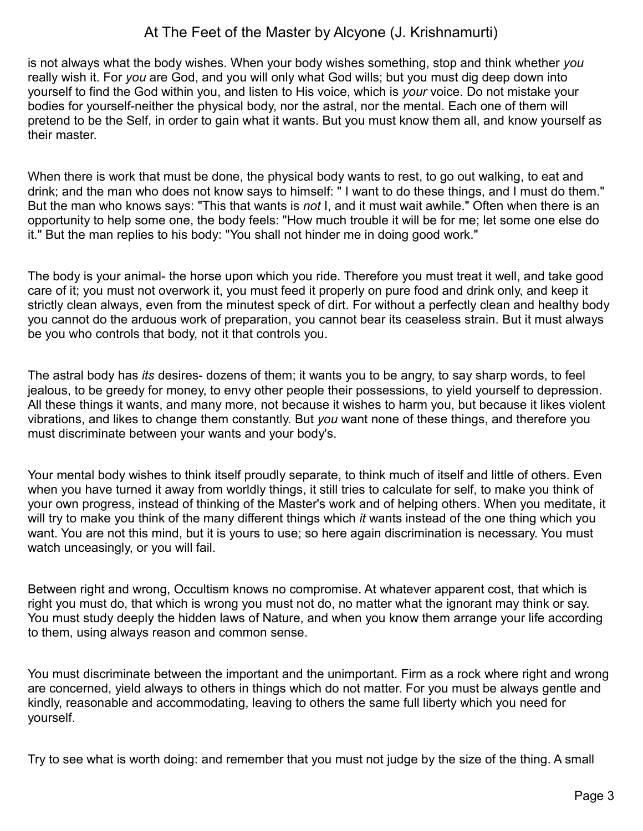is not always what the body wishes. When your body wishes something, stop and think whether *you* really wish it. For *you* are God, and you will only what God wills; but you must dig deep down into yourself to find the God within you, and listen to His voice, which is *your* voice. Do not mistake your bodies for yourself-neither the physical body, nor the astral, nor the mental. Each one of them will pretend to be the Self, in order to gain what it wants. But you must know them all, and know yourself as their master.

When there is work that must be done, the physical body wants to rest, to go out walking, to eat and drink; and the man who does not know says to himself: " I want to do these things, and I must do them." But the man who knows says: "This that wants is *not* I, and it must wait awhile." Often when there is an opportunity to help some one, the body feels: "How much trouble it will be for me; let some one else do it." But the man replies to his body: "You shall not hinder me in doing good work."

The body is your animal- the horse upon which you ride. Therefore you must treat it well, and take good care of it; you must not overwork it, you must feed it properly on pure food and drink only, and keep it strictly clean always, even from the minutest speck of dirt. For without a perfectly clean and healthy body you cannot do the arduous work of preparation, you cannot bear its ceaseless strain. But it must always be you who controls that body, not it that controls you.

The astral body has *its* desires- dozens of them; it wants you to be angry, to say sharp words, to feel jealous, to be greedy for money, to envy other people their possessions, to yield yourself to depression. All these things it wants, and many more, not because it wishes to harm you, but because it likes violent vibrations, and likes to change them constantly. But *you* want none of these things, and therefore you must discriminate between your wants and your body's.

Your mental body wishes to think itself proudly separate, to think much of itself and little of others. Even when you have turned it away from worldly things, it still tries to calculate for self, to make you think of your own progress, instead of thinking of the Master's work and of helping others. When you meditate, it will try to make you think of the many different things which *it* wants instead of the one thing which you want. You are not this mind, but it is yours to use; so here again discrimination is necessary. You must watch unceasingly, or you will fail.

Between right and wrong, Occultism knows no compromise. At whatever apparent cost, that which is right you must do, that which is wrong you must not do, no matter what the ignorant may think or say. You must study deeply the hidden laws of Nature, and when you know them arrange your life according to them, using always reason and common sense.

You must discriminate between the important and the unimportant. Firm as a rock where right and wrong are concerned, yield always to others in things which do not matter. For you must be always gentle and kindly, reasonable and accommodating, leaving to others the same full liberty which you need for yourself.

Try to see what is worth doing: and remember that you must not judge by the size of the thing. A small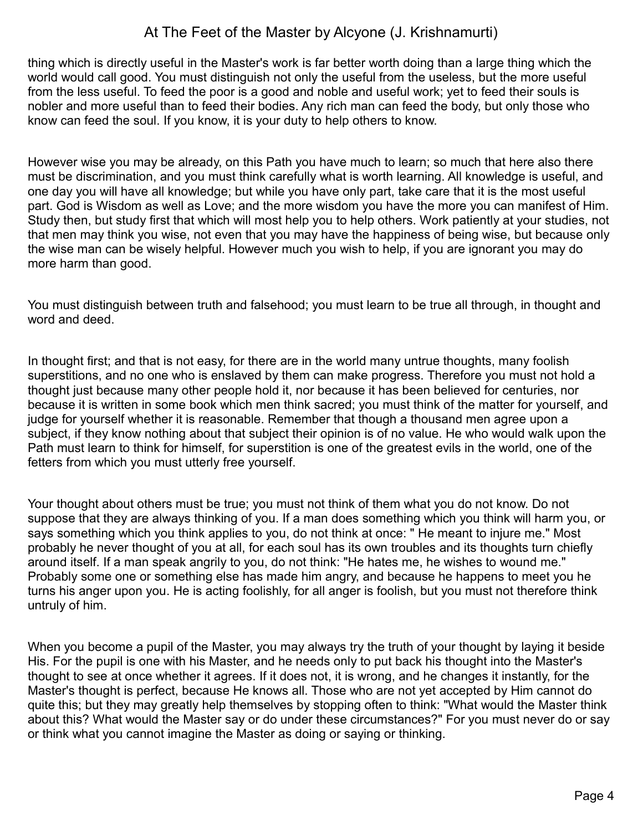thing which is directly useful in the Master's work is far better worth doing than a large thing which the world would call good. You must distinguish not only the useful from the useless, but the more useful from the less useful. To feed the poor is a good and noble and useful work; yet to feed their souls is nobler and more useful than to feed their bodies. Any rich man can feed the body, but only those who know can feed the soul. If you know, it is your duty to help others to know.

However wise you may be already, on this Path you have much to learn; so much that here also there must be discrimination, and you must think carefully what is worth learning. All knowledge is useful, and one day you will have all knowledge; but while you have only part, take care that it is the most useful part. God is Wisdom as well as Love; and the more wisdom you have the more you can manifest of Him. Study then, but study first that which will most help you to help others. Work patiently at your studies, not that men may think you wise, not even that you may have the happiness of being wise, but because only the wise man can be wisely helpful. However much you wish to help, if you are ignorant you may do more harm than good.

You must distinguish between truth and falsehood; you must learn to be true all through, in thought and word and deed.

In thought first; and that is not easy, for there are in the world many untrue thoughts, many foolish superstitions, and no one who is enslaved by them can make progress. Therefore you must not hold a thought just because many other people hold it, nor because it has been believed for centuries, nor because it is written in some book which men think sacred; you must think of the matter for yourself, and judge for yourself whether it is reasonable. Remember that though a thousand men agree upon a subject, if they know nothing about that subject their opinion is of no value. He who would walk upon the Path must learn to think for himself, for superstition is one of the greatest evils in the world, one of the fetters from which you must utterly free yourself.

Your thought about others must be true; you must not think of them what you do not know. Do not suppose that they are always thinking of you. If a man does something which you think will harm you, or says something which you think applies to you, do not think at once: " He meant to injure me." Most probably he never thought of you at all, for each soul has its own troubles and its thoughts turn chiefly around itself. If a man speak angrily to you, do not think: "He hates me, he wishes to wound me." Probably some one or something else has made him angry, and because he happens to meet you he turns his anger upon you. He is acting foolishly, for all anger is foolish, but you must not therefore think untruly of him.

When you become a pupil of the Master, you may always try the truth of your thought by laying it beside His. For the pupil is one with his Master, and he needs only to put back his thought into the Master's thought to see at once whether it agrees. If it does not, it is wrong, and he changes it instantly, for the Master's thought is perfect, because He knows all. Those who are not yet accepted by Him cannot do quite this; but they may greatly help themselves by stopping often to think: "What would the Master think about this? What would the Master say or do under these circumstances?" For you must never do or say or think what you cannot imagine the Master as doing or saying or thinking.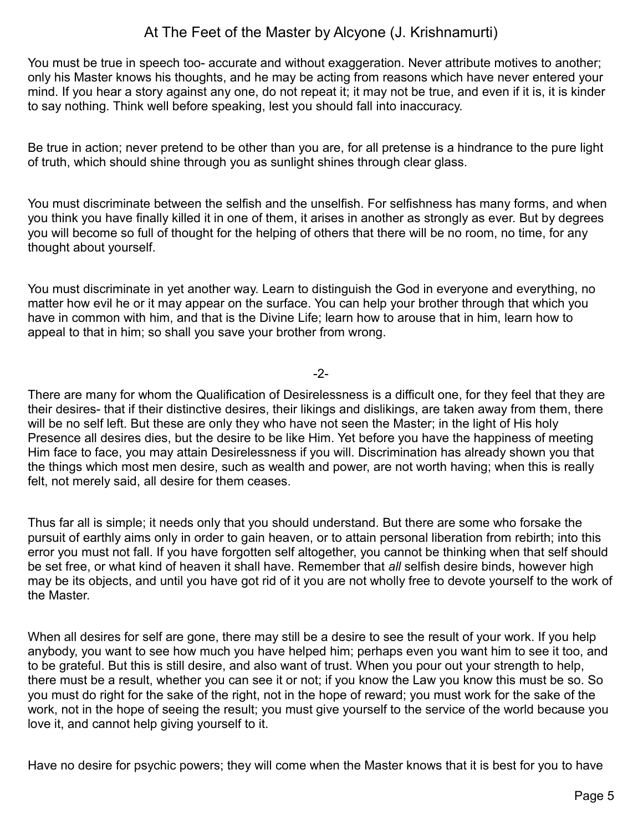You must be true in speech too- accurate and without exaggeration. Never attribute motives to another; only his Master knows his thoughts, and he may be acting from reasons which have never entered your mind. If you hear a story against any one, do not repeat it; it may not be true, and even if it is, it is kinder to say nothing. Think well before speaking, lest you should fall into inaccuracy.

Be true in action; never pretend to be other than you are, for all pretense is a hindrance to the pure light of truth, which should shine through you as sunlight shines through clear glass.

You must discriminate between the selfish and the unselfish. For selfishness has many forms, and when you think you have finally killed it in one of them, it arises in another as strongly as ever. But by degrees you will become so full of thought for the helping of others that there will be no room, no time, for any thought about yourself.

You must discriminate in yet another way. Learn to distinguish the God in everyone and everything, no matter how evil he or it may appear on the surface. You can help your brother through that which you have in common with him, and that is the Divine Life; learn how to arouse that in him, learn how to appeal to that in him; so shall you save your brother from wrong.

-2-

There are many for whom the Qualification of Desirelessness is a difficult one, for they feel that they are their desires- that if their distinctive desires, their likings and dislikings, are taken away from them, there will be no self left. But these are only they who have not seen the Master; in the light of His holy Presence all desires dies, but the desire to be like Him. Yet before you have the happiness of meeting Him face to face, you may attain Desirelessness if you will. Discrimination has already shown you that the things which most men desire, such as wealth and power, are not worth having; when this is really felt, not merely said, all desire for them ceases.

Thus far all is simple; it needs only that you should understand. But there are some who forsake the pursuit of earthly aims only in order to gain heaven, or to attain personal liberation from rebirth; into this error you must not fall. If you have forgotten self altogether, you cannot be thinking when that self should be set free, or what kind of heaven it shall have. Remember that *all* selfish desire binds, however high may be its objects, and until you have got rid of it you are not wholly free to devote yourself to the work of the Master.

When all desires for self are gone, there may still be a desire to see the result of your work. If you help anybody, you want to see how much you have helped him; perhaps even you want him to see it too, and to be grateful. But this is still desire, and also want of trust. When you pour out your strength to help, there must be a result, whether you can see it or not; if you know the Law you know this must be so. So you must do right for the sake of the right, not in the hope of reward; you must work for the sake of the work, not in the hope of seeing the result; you must give yourself to the service of the world because you love it, and cannot help giving yourself to it.

Have no desire for psychic powers; they will come when the Master knows that it is best for you to have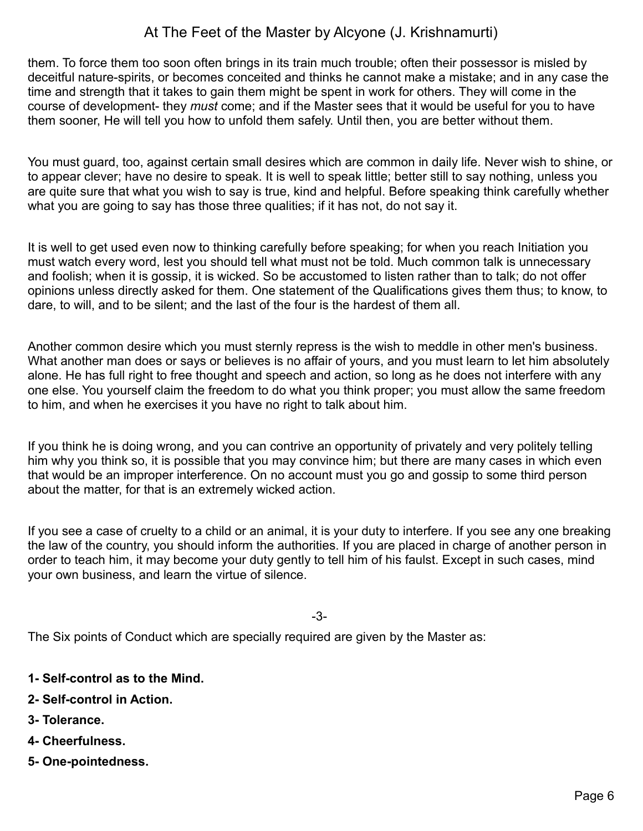them. To force them too soon often brings in its train much trouble; often their possessor is misled by deceitful nature-spirits, or becomes conceited and thinks he cannot make a mistake; and in any case the time and strength that it takes to gain them might be spent in work for others. They will come in the course of development- they *must* come; and if the Master sees that it would be useful for you to have them sooner, He will tell you how to unfold them safely. Until then, you are better without them.

You must guard, too, against certain small desires which are common in daily life. Never wish to shine, or to appear clever; have no desire to speak. It is well to speak little; better still to say nothing, unless you are quite sure that what you wish to say is true, kind and helpful. Before speaking think carefully whether what you are going to say has those three qualities; if it has not, do not say it.

It is well to get used even now to thinking carefully before speaking; for when you reach Initiation you must watch every word, lest you should tell what must not be told. Much common talk is unnecessary and foolish; when it is gossip, it is wicked. So be accustomed to listen rather than to talk; do not offer opinions unless directly asked for them. One statement of the Qualifications gives them thus; to know, to dare, to will, and to be silent; and the last of the four is the hardest of them all.

Another common desire which you must sternly repress is the wish to meddle in other men's business. What another man does or says or believes is no affair of yours, and you must learn to let him absolutely alone. He has full right to free thought and speech and action, so long as he does not interfere with any one else. You yourself claim the freedom to do what you think proper; you must allow the same freedom to him, and when he exercises it you have no right to talk about him.

If you think he is doing wrong, and you can contrive an opportunity of privately and very politely telling him why you think so, it is possible that you may convince him; but there are many cases in which even that would be an improper interference. On no account must you go and gossip to some third person about the matter, for that is an extremely wicked action.

If you see a case of cruelty to a child or an animal, it is your duty to interfere. If you see any one breaking the law of the country, you should inform the authorities. If you are placed in charge of another person in order to teach him, it may become your duty gently to tell him of his faulst. Except in such cases, mind your own business, and learn the virtue of silence.

-3-

The Six points of Conduct which are specially required are given by the Master as:

- **1- Self-control as to the Mind.**
- **2- Self-control in Action.**
- **3- Tolerance.**
- **4- Cheerfulness.**
- **5- One-pointedness.**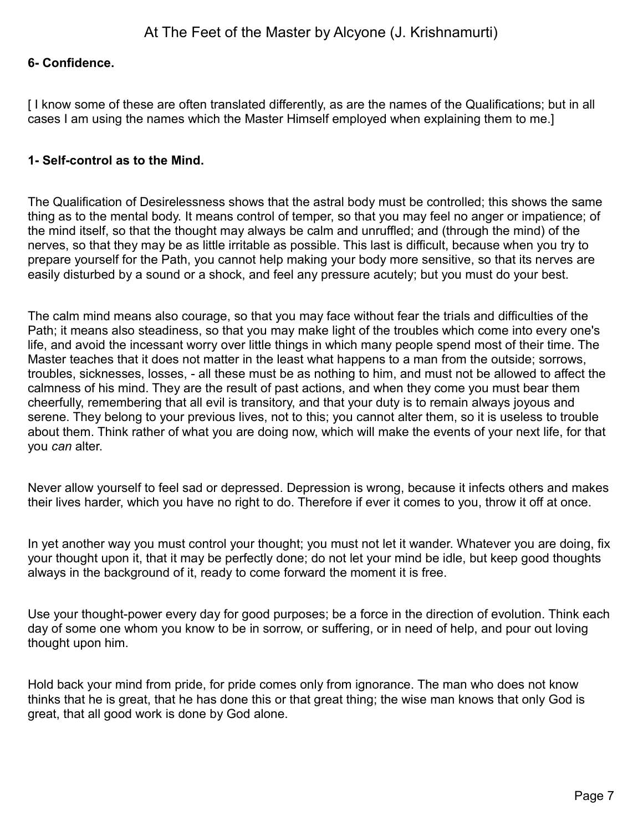#### **6- Confidence.**

[ I know some of these are often translated differently, as are the names of the Qualifications; but in all cases I am using the names which the Master Himself employed when explaining them to me.]

#### **1- Self-control as to the Mind.**

The Qualification of Desirelessness shows that the astral body must be controlled; this shows the same thing as to the mental body. It means control of temper, so that you may feel no anger or impatience; of the mind itself, so that the thought may always be calm and unruffled; and (through the mind) of the nerves, so that they may be as little irritable as possible. This last is difficult, because when you try to prepare yourself for the Path, you cannot help making your body more sensitive, so that its nerves are easily disturbed by a sound or a shock, and feel any pressure acutely; but you must do your best.

The calm mind means also courage, so that you may face without fear the trials and difficulties of the Path; it means also steadiness, so that you may make light of the troubles which come into every one's life, and avoid the incessant worry over little things in which many people spend most of their time. The Master teaches that it does not matter in the least what happens to a man from the outside; sorrows, troubles, sicknesses, losses, - all these must be as nothing to him, and must not be allowed to affect the calmness of his mind. They are the result of past actions, and when they come you must bear them cheerfully, remembering that all evil is transitory, and that your duty is to remain always joyous and serene. They belong to your previous lives, not to this; you cannot alter them, so it is useless to trouble about them. Think rather of what you are doing now, which will make the events of your next life, for that you *can* alter.

Never allow yourself to feel sad or depressed. Depression is wrong, because it infects others and makes their lives harder, which you have no right to do. Therefore if ever it comes to you, throw it off at once.

In yet another way you must control your thought; you must not let it wander. Whatever you are doing, fix your thought upon it, that it may be perfectly done; do not let your mind be idle, but keep good thoughts always in the background of it, ready to come forward the moment it is free.

Use your thought-power every day for good purposes; be a force in the direction of evolution. Think each day of some one whom you know to be in sorrow, or suffering, or in need of help, and pour out loving thought upon him.

Hold back your mind from pride, for pride comes only from ignorance. The man who does not know thinks that he is great, that he has done this or that great thing; the wise man knows that only God is great, that all good work is done by God alone.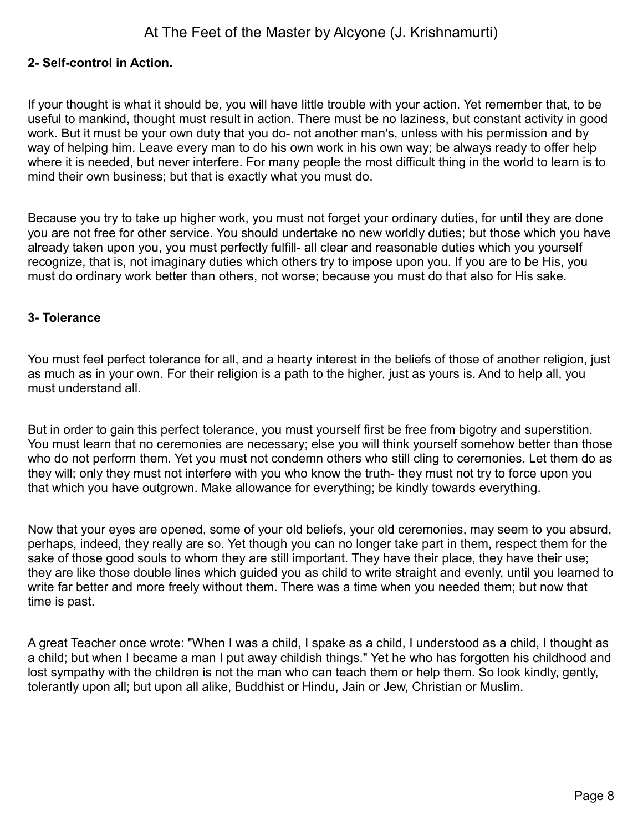#### **2- Self-control in Action.**

If your thought is what it should be, you will have little trouble with your action. Yet remember that, to be useful to mankind, thought must result in action. There must be no laziness, but constant activity in good work. But it must be your own duty that you do- not another man's, unless with his permission and by way of helping him. Leave every man to do his own work in his own way; be always ready to offer help where it is needed, but never interfere. For many people the most difficult thing in the world to learn is to mind their own business; but that is exactly what you must do.

Because you try to take up higher work, you must not forget your ordinary duties, for until they are done you are not free for other service. You should undertake no new worldly duties; but those which you have already taken upon you, you must perfectly fulfill- all clear and reasonable duties which you yourself recognize, that is, not imaginary duties which others try to impose upon you. If you are to be His, you must do ordinary work better than others, not worse; because you must do that also for His sake.

#### **3- Tolerance**

You must feel perfect tolerance for all, and a hearty interest in the beliefs of those of another religion, just as much as in your own. For their religion is a path to the higher, just as yours is. And to help all, you must understand all.

But in order to gain this perfect tolerance, you must yourself first be free from bigotry and superstition. You must learn that no ceremonies are necessary; else you will think yourself somehow better than those who do not perform them. Yet you must not condemn others who still cling to ceremonies. Let them do as they will; only they must not interfere with you who know the truth- they must not try to force upon you that which you have outgrown. Make allowance for everything; be kindly towards everything.

Now that your eyes are opened, some of your old beliefs, your old ceremonies, may seem to you absurd, perhaps, indeed, they really are so. Yet though you can no longer take part in them, respect them for the sake of those good souls to whom they are still important. They have their place, they have their use; they are like those double lines which guided you as child to write straight and evenly, until you learned to write far better and more freely without them. There was a time when you needed them; but now that time is past.

A great Teacher once wrote: "When I was a child, I spake as a child, I understood as a child, I thought as a child; but when I became a man I put away childish things." Yet he who has forgotten his childhood and lost sympathy with the children is not the man who can teach them or help them. So look kindly, gently, tolerantly upon all; but upon all alike, Buddhist or Hindu, Jain or Jew, Christian or Muslim.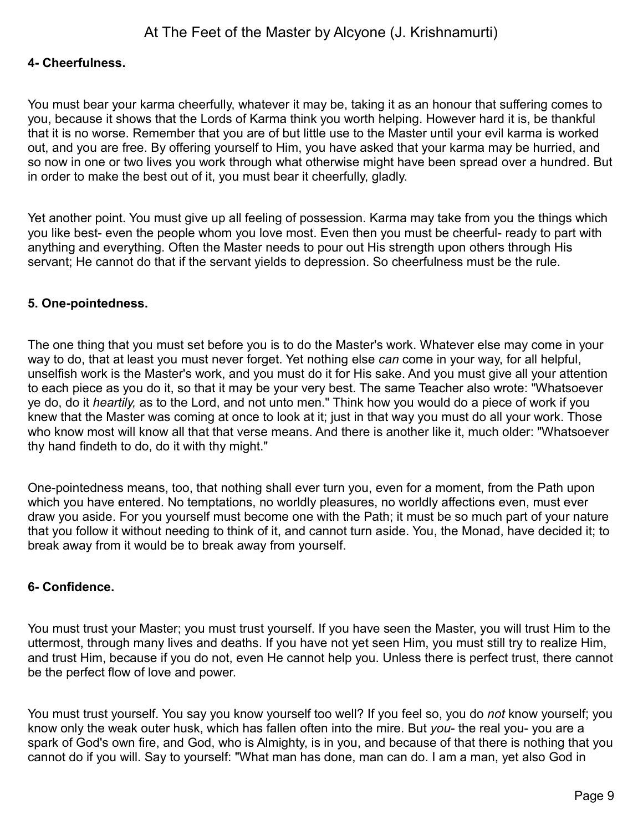#### **4- Cheerfulness.**

You must bear your karma cheerfully, whatever it may be, taking it as an honour that suffering comes to you, because it shows that the Lords of Karma think you worth helping. However hard it is, be thankful that it is no worse. Remember that you are of but little use to the Master until your evil karma is worked out, and you are free. By offering yourself to Him, you have asked that your karma may be hurried, and so now in one or two lives you work through what otherwise might have been spread over a hundred. But in order to make the best out of it, you must bear it cheerfully, gladly.

Yet another point. You must give up all feeling of possession. Karma may take from you the things which you like best- even the people whom you love most. Even then you must be cheerful- ready to part with anything and everything. Often the Master needs to pour out His strength upon others through His servant; He cannot do that if the servant yields to depression. So cheerfulness must be the rule.

#### **5. One-pointedness.**

The one thing that you must set before you is to do the Master's work. Whatever else may come in your way to do, that at least you must never forget. Yet nothing else *can* come in your way, for all helpful, unselfish work is the Master's work, and you must do it for His sake. And you must give all your attention to each piece as you do it, so that it may be your very best. The same Teacher also wrote: "Whatsoever ye do, do it *heartily,* as to the Lord, and not unto men." Think how you would do a piece of work if you knew that the Master was coming at once to look at it; just in that way you must do all your work. Those who know most will know all that that verse means. And there is another like it, much older: "Whatsoever thy hand findeth to do, do it with thy might."

One-pointedness means, too, that nothing shall ever turn you, even for a moment, from the Path upon which you have entered. No temptations, no worldly pleasures, no worldly affections even, must ever draw you aside. For you yourself must become one with the Path; it must be so much part of your nature that you follow it without needing to think of it, and cannot turn aside. You, the Monad, have decided it; to break away from it would be to break away from yourself.

#### **6- Confidence.**

You must trust your Master; you must trust yourself. If you have seen the Master, you will trust Him to the uttermost, through many lives and deaths. If you have not yet seen Him, you must still try to realize Him, and trust Him, because if you do not, even He cannot help you. Unless there is perfect trust, there cannot be the perfect flow of love and power.

You must trust yourself. You say you know yourself too well? If you feel so, you do *not* know yourself; you know only the weak outer husk, which has fallen often into the mire. But *you*- the real you- you are a spark of God's own fire, and God, who is Almighty, is in you, and because of that there is nothing that you cannot do if you will. Say to yourself: "What man has done, man can do. I am a man, yet also God in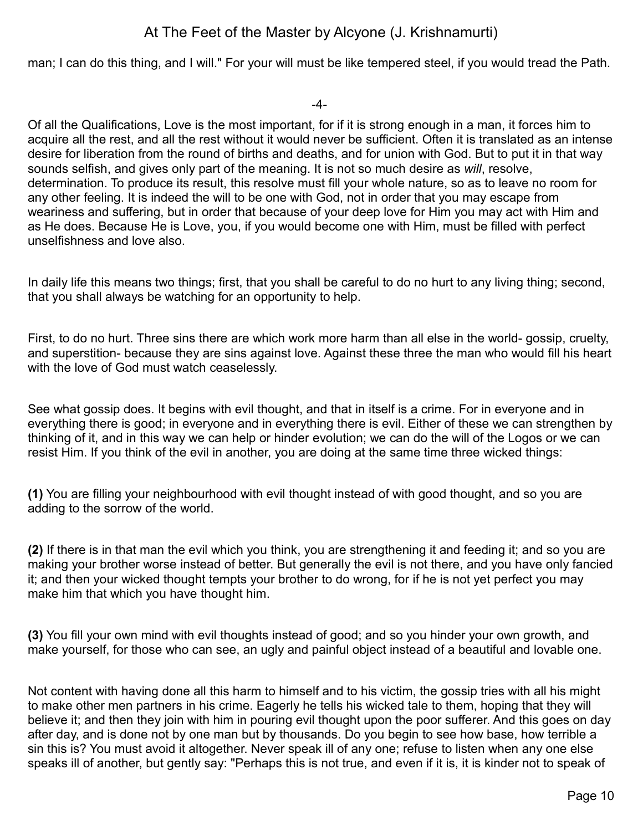man; I can do this thing, and I will." For your will must be like tempered steel, if you would tread the Path.

-4-

Of all the Qualifications, Love is the most important, for if it is strong enough in a man, it forces him to acquire all the rest, and all the rest without it would never be sufficient. Often it is translated as an intense desire for liberation from the round of births and deaths, and for union with God. But to put it in that way sounds selfish, and gives only part of the meaning. It is not so much desire as *will*, resolve, determination. To produce its result, this resolve must fill your whole nature, so as to leave no room for any other feeling. It is indeed the will to be one with God, not in order that you may escape from weariness and suffering, but in order that because of your deep love for Him you may act with Him and as He does. Because He is Love, you, if you would become one with Him, must be filled with perfect unselfishness and love also.

In daily life this means two things; first, that you shall be careful to do no hurt to any living thing; second, that you shall always be watching for an opportunity to help.

First, to do no hurt. Three sins there are which work more harm than all else in the world- gossip, cruelty, and superstition- because they are sins against love. Against these three the man who would fill his heart with the love of God must watch ceaselessly.

See what gossip does. It begins with evil thought, and that in itself is a crime. For in everyone and in everything there is good; in everyone and in everything there is evil. Either of these we can strengthen by thinking of it, and in this way we can help or hinder evolution; we can do the will of the Logos or we can resist Him. If you think of the evil in another, you are doing at the same time three wicked things:

**(1)** You are filling your neighbourhood with evil thought instead of with good thought, and so you are adding to the sorrow of the world.

**(2)** If there is in that man the evil which you think, you are strengthening it and feeding it; and so you are making your brother worse instead of better. But generally the evil is not there, and you have only fancied it; and then your wicked thought tempts your brother to do wrong, for if he is not yet perfect you may make him that which you have thought him.

**(3)** You fill your own mind with evil thoughts instead of good; and so you hinder your own growth, and make yourself, for those who can see, an ugly and painful object instead of a beautiful and lovable one.

Not content with having done all this harm to himself and to his victim, the gossip tries with all his might to make other men partners in his crime. Eagerly he tells his wicked tale to them, hoping that they will believe it; and then they join with him in pouring evil thought upon the poor sufferer. And this goes on day after day, and is done not by one man but by thousands. Do you begin to see how base, how terrible a sin this is? You must avoid it altogether. Never speak ill of any one; refuse to listen when any one else speaks ill of another, but gently say: "Perhaps this is not true, and even if it is, it is kinder not to speak of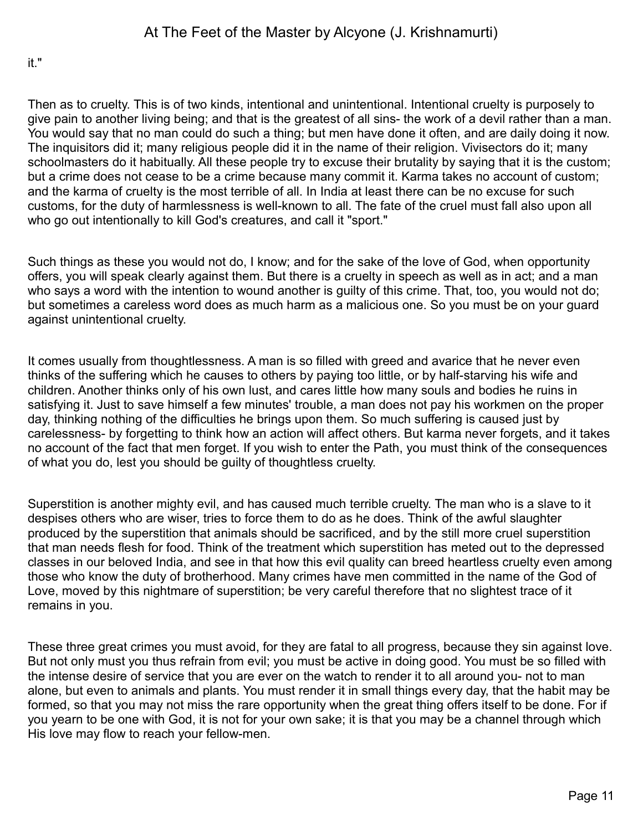it."

Then as to cruelty. This is of two kinds, intentional and unintentional. Intentional cruelty is purposely to give pain to another living being; and that is the greatest of all sins- the work of a devil rather than a man. You would say that no man could do such a thing; but men have done it often, and are daily doing it now. The inquisitors did it; many religious people did it in the name of their religion. Vivisectors do it; many schoolmasters do it habitually. All these people try to excuse their brutality by saying that it is the custom; but a crime does not cease to be a crime because many commit it. Karma takes no account of custom; and the karma of cruelty is the most terrible of all. In India at least there can be no excuse for such customs, for the duty of harmlessness is well-known to all. The fate of the cruel must fall also upon all who go out intentionally to kill God's creatures, and call it "sport."

Such things as these you would not do, I know; and for the sake of the love of God, when opportunity offers, you will speak clearly against them. But there is a cruelty in speech as well as in act; and a man who says a word with the intention to wound another is guilty of this crime. That, too, you would not do; but sometimes a careless word does as much harm as a malicious one. So you must be on your guard against unintentional cruelty.

It comes usually from thoughtlessness. A man is so filled with greed and avarice that he never even thinks of the suffering which he causes to others by paying too little, or by half-starving his wife and children. Another thinks only of his own lust, and cares little how many souls and bodies he ruins in satisfying it. Just to save himself a few minutes' trouble, a man does not pay his workmen on the proper day, thinking nothing of the difficulties he brings upon them. So much suffering is caused just by carelessness- by forgetting to think how an action will affect others. But karma never forgets, and it takes no account of the fact that men forget. If you wish to enter the Path, you must think of the consequences of what you do, lest you should be guilty of thoughtless cruelty.

Superstition is another mighty evil, and has caused much terrible cruelty. The man who is a slave to it despises others who are wiser, tries to force them to do as he does. Think of the awful slaughter produced by the superstition that animals should be sacrificed, and by the still more cruel superstition that man needs flesh for food. Think of the treatment which superstition has meted out to the depressed classes in our beloved India, and see in that how this evil quality can breed heartless cruelty even among those who know the duty of brotherhood. Many crimes have men committed in the name of the God of Love, moved by this nightmare of superstition; be very careful therefore that no slightest trace of it remains in you.

These three great crimes you must avoid, for they are fatal to all progress, because they sin against love. But not only must you thus refrain from evil; you must be active in doing good. You must be so filled with the intense desire of service that you are ever on the watch to render it to all around you- not to man alone, but even to animals and plants. You must render it in small things every day, that the habit may be formed, so that you may not miss the rare opportunity when the great thing offers itself to be done. For if you yearn to be one with God, it is not for your own sake; it is that you may be a channel through which His love may flow to reach your fellow-men.